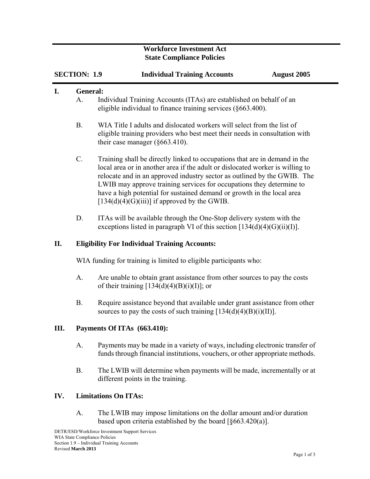## **Workforce Investment Act State Compliance Policies**

|     | <b>SECTION: 1.9</b>                                  | <b>Individual Training Accounts</b><br><b>August 2005</b>                                                                                                                                                                                                                                                                                                                                                                                   |  |
|-----|------------------------------------------------------|---------------------------------------------------------------------------------------------------------------------------------------------------------------------------------------------------------------------------------------------------------------------------------------------------------------------------------------------------------------------------------------------------------------------------------------------|--|
| I.  | General:<br>А.                                       | Individual Training Accounts (ITAs) are established on behalf of an<br>eligible individual to finance training services (§663.400).                                                                                                                                                                                                                                                                                                         |  |
|     | <b>B.</b>                                            | WIA Title I adults and dislocated workers will select from the list of<br>eligible training providers who best meet their needs in consultation with<br>their case manager $(\S 663.410)$ .                                                                                                                                                                                                                                                 |  |
|     | $C$ .                                                | Training shall be directly linked to occupations that are in demand in the<br>local area or in another area if the adult or dislocated worker is willing to<br>relocate and in an approved industry sector as outlined by the GWIB. The<br>LWIB may approve training services for occupations they determine to<br>have a high potential for sustained demand or growth in the local area<br>$[134(d)(4)(G)(iii)]$ if approved by the GWIB. |  |
|     | D.                                                   | ITAs will be available through the One-Stop delivery system with the<br>exceptions listed in paragraph VI of this section $[134(d)(4)(G)(ii)(I)].$                                                                                                                                                                                                                                                                                          |  |
| II. | <b>Eligibility For Individual Training Accounts:</b> |                                                                                                                                                                                                                                                                                                                                                                                                                                             |  |
|     |                                                      | WIA funding for training is limited to eligible participants who:                                                                                                                                                                                                                                                                                                                                                                           |  |
|     | A.                                                   | Are unable to obtain grant assistance from other sources to pay the costs<br>of their training $[134(d)(4)(B)(i)(I)]$ ; or                                                                                                                                                                                                                                                                                                                  |  |
|     | <b>B.</b>                                            | Require assistance beyond that available under grant assistance from other<br>sources to pay the costs of such training $[134(d)(4)(B)(i)(II)].$                                                                                                                                                                                                                                                                                            |  |
| Ш.  |                                                      | Payments Of ITAs (663.410):                                                                                                                                                                                                                                                                                                                                                                                                                 |  |
|     | A.                                                   | Payments may be made in a variety of ways, including electronic transfer of<br>funds through financial institutions, vouchers, or other appropriate methods.                                                                                                                                                                                                                                                                                |  |
|     | <b>B.</b>                                            | The LWIB will determine when payments will be made, incrementally or at<br>different points in the training.                                                                                                                                                                                                                                                                                                                                |  |
| IV. |                                                      | <b>Limitations On ITAs:</b>                                                                                                                                                                                                                                                                                                                                                                                                                 |  |
|     | A.                                                   | The LWIB may impose limitations on the dollar amount and/or duration<br>based upon criteria established by the board $[\S 663.420(a)]$ .                                                                                                                                                                                                                                                                                                    |  |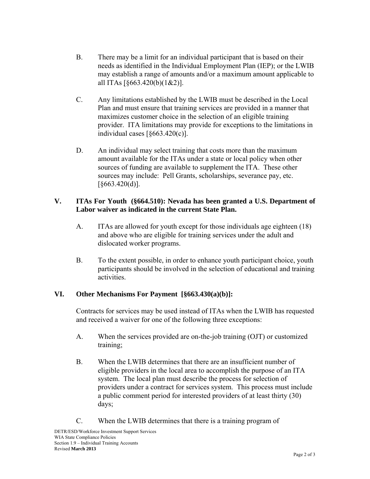- B. There may be a limit for an individual participant that is based on their needs as identified in the Individual Employment Plan (IEP); or the LWIB may establish a range of amounts and/or a maximum amount applicable to all ITAs [§663.420(b)(1&2)].
- C. Any limitations established by the LWIB must be described in the Local Plan and must ensure that training services are provided in a manner that maximizes customer choice in the selection of an eligible training provider. ITA limitations may provide for exceptions to the limitations in individual cases [§663.420(c)].
- D. An individual may select training that costs more than the maximum amount available for the ITAs under a state or local policy when other sources of funding are available to supplement the ITA. These other sources may include: Pell Grants, scholarships, severance pay, etc. [§663.420(d)].

## **V. ITAs For Youth (§664.510): Nevada has been granted a U.S. Department of Labor waiver as indicated in the current State Plan.**

- A. ITAs are allowed for youth except for those individuals age eighteen (18) and above who are eligible for training services under the adult and dislocated worker programs.
- B. To the extent possible, in order to enhance youth participant choice, youth participants should be involved in the selection of educational and training activities.

## **VI. Other Mechanisms For Payment [§663.430(a)(b)]:**

Contracts for services may be used instead of ITAs when the LWIB has requested and received a waiver for one of the following three exceptions:

- A. When the services provided are on-the-job training (OJT) or customized training;
- B. When the LWIB determines that there are an insufficient number of eligible providers in the local area to accomplish the purpose of an ITA system. The local plan must describe the process for selection of providers under a contract for services system. This process must include a public comment period for interested providers of at least thirty (30) days;
- C. When the LWIB determines that there is a training program of